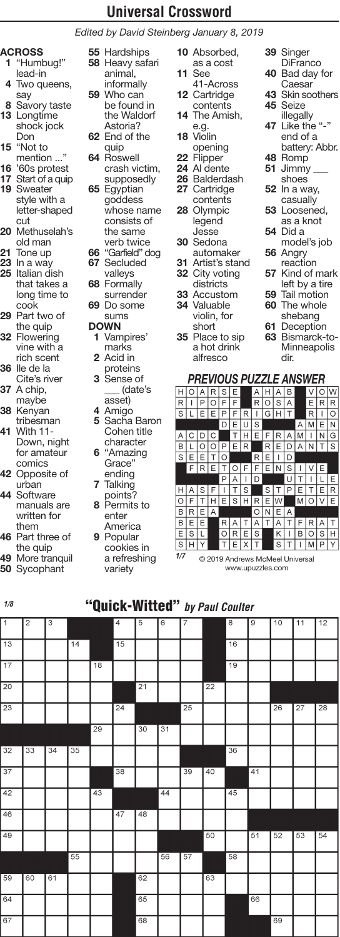*Edited by David Steinberg January 8, 2019*

# **ACROSS**

- **1** "Humbug!" lead-in
- **4** Two queens, say
- **8** Savory taste **13** Longtime shock jock Don
- **15** "Not to mention ..."
- **16** '60s protest
- **17** Start of a quip
- **19** Sweater style with a letter-shaped cut
- **20** Methuselah's old man
- **21** Tone up
- **23** In a way
- **25** Italian dish that takes a long time to cook
- **29** Part two of the quip **32** Flowering
- vine with a rich scent **36** Ile de la
- Cite's river **37** A chip,
- maybe **38** Kenyan
- tribesman **41** With 11- Down, night
- for amateur comics **42** Opposite of
- urban **44** Software manuals are written for
- them **46** Part three of
- the quip **49** More tranquil
- **50** Sycophant
- **55** Hardships **58** Heavy safari animal, informally **59** Who can
- be found in the Waldorf Astoria? **62** End of the
- quip **64** Roswell
- crash victim, supposedly **65** Egyptian goddess whose name
- consists of the same verb twice **66** "Garfield" dog
- **67** Secluded valleys
- **68** Formally surrender **69** Do some
- sums **DOWN**
	- **1** Vampires' marks **2** Acid in
	- proteins **3** Sense of
	- \_\_\_ (date's asset)
	- **4** Amigo **5** Sacha Baron
	- Cohen title character **6** "Amazing
	- Grace' ending **7** Talking
	- points? **8** Permits to
	- enter America **9** Popular cookies in
		- a refreshing variety

**10** Absorbed, as a cost

- **11** See 41-Across **12** Cartridge
- contents **14** The Amish,
- e.g. **18** Violin
- opening **22** Flipper
- **24** Al dente
- **26** Balderdash **27** Cartridge
- contents **28** Olympic legend Jesse
- **30** Sedona automaker
- **31** Artist's stand
- **32** City voting districts
- **33** Accustom **34** Valuable
- violin, for short
- **35** Place to sip a hot drink alfresco
- **39** Singer
- **DiFranco 40** Bad day for Caesar
- **43** Skin soothers
- **45** Seize illegally **47** Like the "-"
- end of a battery: Abbr.
- **48** Romp
- **51** Jimmy \_\_\_ shoes
- **52** In a way, casually
- **53** Loosened, as a knot
- **54** Did a model's job
- **56** Angry reaction
- **57** Kind of mark
	- left by a tire
- **59** Tail motion **60** The whole
- shebang
- **61** Deception
- **63** Bismarck-to-Minneapolis dir.

#### *PREVIOUS PUZZLE ANSWER*

| Н |   |   |   | S |   |   |   |   |   | В |   |   |   |    |
|---|---|---|---|---|---|---|---|---|---|---|---|---|---|----|
| R |   | P | ∩ | F | F |   | R | O | S | A |   | E | R | R  |
| S |   |   | F | P | F | R | I | G |   | Ť |   | R |   | ∩  |
|   |   |   |   | D | E | U | S |   |   |   | Α | M | E | N  |
| Α | Ċ | D | C |   | т | Н | E |   |   | А | M | ı | N | G  |
| B |   | ∩ | ∩ | P | Е | R |   | R | E | D | А | N |   | S  |
| S | E | E | T | O |   |   | R | E | I | D |   |   |   |    |
|   | F | R | E | T |   | F | F | E | N | S |   |   |   |    |
|   |   |   |   | P | А | ı | D |   |   | U | Т |   |   | E. |
| Н |   | S | F | I | T | S |   | S |   | Ρ | Е |   | Е | R  |
| O | F | T | Н | E | S | н | R | E | W |   | M | ∩ |   | E. |
| B | R | E | A |   |   |   | O | N | E | A |   |   |   |    |
| B | E | E |   | R | д |   | А | T | А | T |   |   | д |    |
| E | S | L |   | O | R | E | S |   | K | ı | B | O | S |    |
| S |   |   |   | T | E | x |   |   | S |   |   |   |   |    |
|   |   |   |   |   |   |   |   |   |   |   |   |   |   |    |

© 2019 Andrews McMeel Universal www.upuzzles.com *1/7*

## "Quick-Witted" *by Paul Coulter 1/8*

| $\overline{1}$  | $\overline{\mathbf{c}}$ | $\overline{\mathbf{3}}$ |    |                 | $\overline{4}$  | 5               | $\overline{6}$  | 7  |                 | $\overline{\mathbf{8}}$ | 9               | 10 | 11              | 12              |
|-----------------|-------------------------|-------------------------|----|-----------------|-----------------|-----------------|-----------------|----|-----------------|-------------------------|-----------------|----|-----------------|-----------------|
| $\overline{13}$ |                         |                         | 14 |                 | $\overline{15}$ |                 |                 |    |                 | 16                      |                 |    |                 |                 |
| $\overline{17}$ |                         |                         |    | $\overline{18}$ |                 |                 |                 |    |                 | $\overline{19}$         |                 |    |                 |                 |
| $\overline{20}$ |                         |                         |    |                 |                 | $\overline{21}$ |                 |    | $\overline{22}$ |                         |                 |    |                 |                 |
| 23              |                         |                         |    |                 | $\overline{24}$ |                 |                 | 25 |                 |                         |                 | 26 | $\overline{27}$ | $\overline{28}$ |
|                 |                         |                         |    | 29              |                 | 30              | $\overline{31}$ |    |                 |                         |                 |    |                 |                 |
| 32              | 33                      | 34                      | 35 |                 |                 |                 |                 |    |                 | 36                      |                 |    |                 |                 |
| $\overline{37}$ |                         |                         |    |                 | 38              |                 |                 | 39 | 40              |                         | 41              |    |                 |                 |
| 42              |                         |                         |    | 43              |                 |                 | 44              |    |                 | 45                      |                 |    |                 |                 |
| 46              |                         |                         |    |                 | 47              | 48              |                 |    |                 |                         |                 |    |                 |                 |
| 49              |                         |                         |    |                 |                 |                 |                 |    | 50              |                         | $\overline{51}$ | 52 | 53              | $\overline{54}$ |
|                 |                         |                         | 55 |                 |                 |                 | 56              | 57 |                 | 58                      |                 |    |                 |                 |
| 59              | 60                      | 61                      |    |                 |                 | 62              |                 |    | 63              |                         |                 |    |                 |                 |
| 64              |                         |                         |    |                 |                 | 65              |                 |    |                 |                         | 66              |    |                 |                 |
| 67              |                         |                         |    |                 |                 | 68              |                 |    |                 |                         |                 | 69 |                 |                 |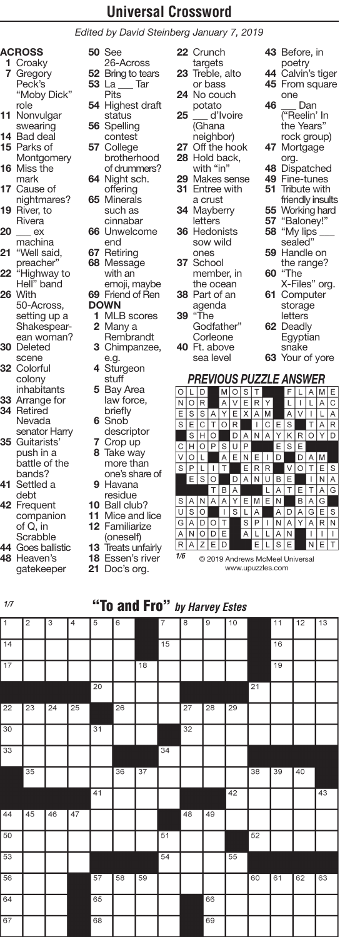*Edited by David Steinberg January 7, 2019*

#### **ACROSS**

- **1** Croaky **7** Gregory Peck's "Moby Dick" role
- **11** Nonvulgar swearing
- **14** Bad deal
- **15** Parks of
- Montgomery **16** Miss the
- mark **17** Cause of
- nightmares? **19** River, to
- Rivera **20** ex
- machina **21** "Well said,
- preacher" **22** "Highway to
- Hell" band **26** With
- 50-Across, setting up a
- Shakespearean woman?
- **30** Deleted scene
- **32** Colorful colony
- inhabitants **33** Arrange for
- **34** Retired Nevada
- senator Harry **35** Guitarists'
- push in a battle of the bands?
- **41** Settled a debt
- **42** Frequent companion of Q, in **Scrabble**
- **44** Goes ballistic **48** Heaven's
- gatekeeper

**52** Bring to tears **53** La \_\_\_ Tar **Pits 54** Highest draft status **56** Spelling contest **57** College brotherhood of drummers? **64** Night sch. offering **65** Minerals such as cinnabar **66** Unwelcome end **67** Retiring **68** Message with an emoji, maybe **69** Friend of Ren **DOWN 1** MLB scores

**50** See 26-Across

- **2** Many a Rembrandt
- **3** Chimpanzee, e.g.
- **4** Sturgeon stuff
- **5** Bay Area law force, briefly
- **6** Snob descriptor
- **7** Crop up **8** Take way more than
- one's share of **9** Havana residue
- **10** Ball club?
- **11** Mice and lice
- **12** Familiarize
- (oneself)
- **13** Treats unfairly
- **18** Essen's river
- **21** Doc's org.
- **22** Crunch targets **23** Treble, alto or bass **24** No couch potato **25** \_\_\_ d'Ivoire (Ghana neighbor) 27 Off the hook **28** Hold back, with "in' **29** Makes sense **31** Entree with a crust **34** Mayberry letters **36** Hedonists sow wild ones **37** School member, in the ocean **38** Part of an agenda **39** "The Godfather" **Corleone 40** Ft. above **43** Before, in poetry **44** Calvin's tiger **45** From square one **46** \_\_\_ Dan ("Reelin' In the Years" rock group) **47** Mortgage org. **48** Dispatched **49** Fine-tunes **51** Tribute with friendly insults **55** Working hard **57** "Baloney!" **58** "My lips \_\_\_ sealed" **59** Handle on the range? **60** "The X-Files" org. **61** Computer storage letters **62** Deadly **Egyptian** 
	- snake **63** Your of yore

#### *PREVIOUS PUZZLE ANSWER*

sea level

| Ω |   | D |   | М |   | S |   |   |   |   |   | Δ | м | E |
|---|---|---|---|---|---|---|---|---|---|---|---|---|---|---|
| N | Ω | R |   | Α | V | E | R | Y |   |   | I |   | А | Ć |
| E | S | S | Α | Υ | E | X | А | М |   | Α | ٧ | ı | L | A |
| S | E | C | T | O | R |   | ı | C | E | S |   | T | А | R |
|   | S | н | O |   | D | Α | Ν | Α | Υ | Κ | R | О |   | D |
| С | Н | ∩ | P | S | U | P |   |   | E | S | E |   |   |   |
| V | O |   |   | Α | E | Ν | F |   | D |   | D | А | м |   |
| S | P |   | ı | Т |   | Е | R | R |   | ٧ | Ο | T | Е | S |
|   | Ε | S | ∩ |   | D | А | Ν | п | В | Ε |   | ı | N | Α |
|   |   |   | Т | B | Α |   |   | L | Α | T | Е | T | А | G |
| S | д | Ν | А | Α | Υ | E | М | E | Ν |   | В | Α | G |   |
| U | S | O |   | I | S | L | Α |   | A | D | Α | G | E | S |
| G | А | D | Ω | Т |   | S | Ρ | ı | N | Α | Υ | Α | R | N |
| A | N | റ | n | E |   | A | L |   | A | N |   | ı | ı |   |
| R | Α | Z | Е | D |   |   | Ε |   | S | Ε |   | Ν | Е |   |

© 2019 Andrews McMeel Universal www.upuzzles.com *1/6*

## "To and Fro" *by Harvey Estes 1/7*

| $\overline{1}$  | $\overline{\mathbf{c}}$ | 3               | $\overline{4}$  | 5               | 6  |                 | 7               | 8               | $\mathsf g$     | 10              |                 | 11              | 12 | $\overline{13}$ |
|-----------------|-------------------------|-----------------|-----------------|-----------------|----|-----------------|-----------------|-----------------|-----------------|-----------------|-----------------|-----------------|----|-----------------|
| $\overline{14}$ |                         |                 |                 |                 |    |                 | $\overline{15}$ |                 |                 |                 |                 | 16              |    |                 |
| $\overline{17}$ |                         |                 |                 |                 |    | $\overline{18}$ |                 |                 |                 |                 |                 | $\overline{19}$ |    |                 |
|                 |                         |                 |                 | 20              |    |                 |                 |                 |                 |                 | $\overline{21}$ |                 |    |                 |
| 22              | $\overline{23}$         | $\overline{24}$ | $\overline{25}$ |                 | 26 |                 |                 | $\overline{27}$ | $\overline{28}$ | $\overline{29}$ |                 |                 |    |                 |
| 30              |                         |                 |                 | $\overline{31}$ |    |                 |                 | 32              |                 |                 |                 |                 |    |                 |
| 33              |                         |                 |                 |                 |    |                 | 34              |                 |                 |                 |                 |                 |    |                 |
|                 | 35                      |                 |                 |                 | 36 | $\overline{37}$ |                 |                 |                 |                 | 38              | 39              | 40 |                 |
|                 |                         |                 |                 | 41              |    |                 |                 |                 |                 | 42              |                 |                 |    | 43              |
| 44              | 45                      | 46              | 47              |                 |    |                 |                 | 48              | 49              |                 |                 |                 |    |                 |
| 50              |                         |                 |                 |                 |    |                 | 51              |                 |                 |                 | 52              |                 |    |                 |
| 53              |                         |                 |                 |                 |    |                 | 54              |                 |                 | 55              |                 |                 |    |                 |
| 56              |                         |                 |                 | 57              | 58 | 59              |                 |                 |                 |                 | 60              | 61              | 62 | 63              |
| 64              |                         |                 |                 | 65              |    |                 |                 |                 | 66              |                 |                 |                 |    |                 |
| 67              |                         |                 |                 | 68              |    |                 |                 |                 | 69              |                 |                 |                 |    |                 |
|                 |                         |                 |                 |                 |    |                 |                 |                 |                 |                 |                 |                 |    |                 |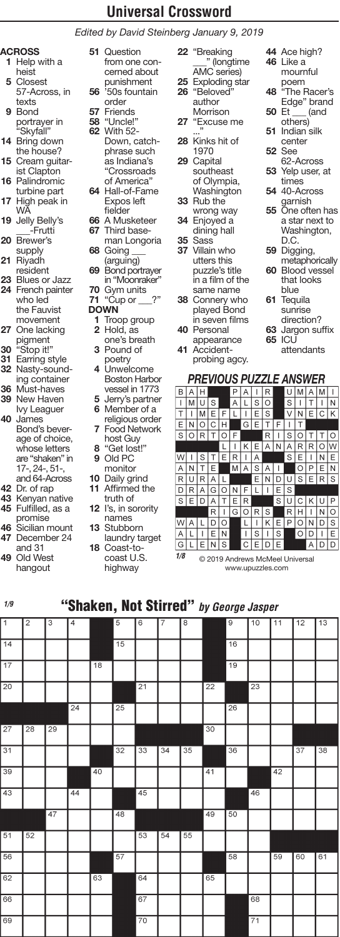*Edited by David Steinberg January 9, 2019*

#### **ACROSS**

- **1** Help with a heist
- **5** Closest 57-Across, in texts
- **9** Bond portrayer in "Skyfall"
- **14** Bring down the house?
- **15** Cream guitarist Clapton
- **16** Palindromic turbine part
- **17** High peak in WA
- **19** Jelly Belly's -Frutti
- **20** Brewer's supply
- **21** Riyadh resident
- **23** Blues or Jazz
- **24** French painter who led the Fauvist movement **27** One lacking
- pigment **30** "Stop it!"
- **31** Earring style
- **32** Nasty-sounding container **36** Must-haves
- **39** New Haven
- Ivy Leaguer **40** James Bond's beverage of choice, whose letters are "shaken" in 17-, 24-, 51-, and 64-Across
- **42** Dr. of rap
- **43** Kenyan native **45** Fulfilled, as a
- promise **46** Sicilian mount
- **47** December 24 and 31
- **49** Old West hangout
- **51** Question from one concerned about punishment **56** '50s fountain order
- **57** Friends **58** "Uncle!"
- **62** With 52- Down, catchphrase such as Indiana's "Crossroads of America" **64** Hall-of-Fame
- Expos left fielder
- **66** A Musketeer
- **67** Third baseman Longoria
- **68** Going \_\_\_
- (arguing) **69** Bond portrayer in "Moonraker"
- **70** Gym units **71** "Cup or \_\_\_?" **DOWN**
	- **1** Troop group
	- **2** Hold, as one's breath **3** Pound of
	- poetry **4** Unwelcome
	- Boston Harbor vessel in 1773 **5** Jerry's partner
	- **6** Member of a religious order
	- **7** Food Network host Guy **8** "Get lost!"
	-
	- **9** Old PC monitor
- **10** Daily grind
- **11** Affirmed the truth of
- **12** I's, in sorority names
- **13** Stubborn laundry target
- **18** Coast-tocoast U.S.
	- highway

**22** "Breaking \_\_\_" (longtime AMC series) **25** Exploding star **26** "Beloved" author Morrison **27** "Excuse me ..."

- **28** Kinks hit of 1970
- **29** Capital southeast of Olympia, Washington **33** Rub the
- wrong way **34** Enjoyed a
- dining hall **35** Sass
- **37** Villain who utters this puzzle's title
- in a film of the same name **38** Connery who played Bond
- in seven films **40** Personal
- appearance **41** Accident-
- probing agcy.
- **44** Ace high? **46** Like a mournful
- poem **48** "The Racer's
- Edge" brand **50** Et \_\_\_ (and
- others) 51 Indian<sup>silk</sup>
- center **52** See
- 62-Across
- **53** Yelp user, at times
- **54** 40-Across
- garnish<br>**55** One often has a star next to Washington, D.C.
- **59** Digging, metaphorically **60** Blood vessel
- that looks blue
- **61** Tequila sunrise direction?
- **63** Jargon suffix **65** ICU
	- attendants
- *PREVIOUS PUZZLE ANSWER*  $\boxed{|\mathsf{M}|\mathsf{U}|}\mathsf{S}|$  $A|L|S|O$  $s<sub>1</sub>$  $T$  $\frac{1}{N}$ ENOCH  $|E|s$  $VNE|cK$ ।<br>|दांह ╔  $\overline{\mathsf{T}}$ ī  $\overline{\mathsf{T}}$ **SORTOF** R  $\overline{\phantom{a}}$  is  $\overline{\phantom{a}}$ Ŧ Ιт Ιo π T  $K$   $E$ IAINIAIRI **ROW**  $N$  E  $W\Gamma$ s ERIA  $\overline{\phantom{a}}$ Τ  $s$   $\overline{r}$  $A|N$  $\overline{\mathsf{T}}$  $\overline{E}$  $MA$  $\overline{s}$ l A  $\overline{1}$ Ιo  $\overline{P}$ ΙE İN END RUR  $\overline{A}$ τ णिड  $FIRS$  $DRAGONF$ İΕ  $|E|S|$  $SEDA$  $\top$  $E|R|$  $s$ U $c$ K $u$ P RHINO<br>PONDS  $\overline{R}$  $\overline{1}$  $\begin{array}{|c|c|c|}\n\hline\nG & O & R \\
\hline\nI & I\n\end{array}$  $|s|$ व व  $\overline{\mathsf{K}}$ WA Γ l L |L <u> । । । । ।</u>  $\boxed{\circ \, \boxed{\circ} \, \boxed{\cdot} \, \boxed{\epsilon}}$ |A|L  $TEN$ ADD  $G[L|E|N|S]$  $|C|E|D|E$ *1/8*

© 2019 Andrews McMeel Universal www.upuzzles.com

## "Shaken, Not Stirred" *by George Jasper 1/9*

| $\overline{1}$ | $\overline{2}$  | 3               | $\overline{\mathcal{L}}$ |                 | $\overline{5}$  | $6\overline{6}$ | 7  | $\overline{8}$ |                 | $\overline{9}$  | 10              | 11 | 12 | 13 |
|----------------|-----------------|-----------------|--------------------------|-----------------|-----------------|-----------------|----|----------------|-----------------|-----------------|-----------------|----|----|----|
| $\sqrt{14}$    |                 |                 |                          |                 | $\overline{15}$ |                 |    |                |                 | 16              |                 |    |    |    |
| 17             |                 |                 |                          | $\overline{18}$ |                 |                 |    |                |                 | $\overline{19}$ |                 |    |    |    |
| 20             |                 |                 |                          |                 |                 | $\overline{21}$ |    |                | $\overline{22}$ |                 | 23              |    |    |    |
|                |                 |                 | $\overline{24}$          |                 | 25              |                 |    |                |                 | $\overline{26}$ |                 |    |    |    |
| 27             | 28              | $\overline{29}$ |                          |                 |                 |                 |    |                | 30              |                 |                 |    |    |    |
| 31             |                 |                 |                          |                 | 32              | 33              | 34 | 35             |                 | $\overline{36}$ |                 |    | 37 | 38 |
| 39             |                 |                 |                          | 40              |                 |                 |    |                | $\overline{41}$ |                 |                 | 42 |    |    |
| 43             |                 |                 | 44                       |                 |                 | 45              |    |                |                 |                 | 46              |    |    |    |
|                |                 | 47              |                          |                 | 48              |                 |    |                | 49              | 50              |                 |    |    |    |
| 51             | $\overline{52}$ |                 |                          |                 |                 | 53              | 54 | 55             |                 |                 |                 |    |    |    |
| 56             |                 |                 |                          |                 | 57              |                 |    |                |                 | 58              |                 | 59 | 60 | 61 |
| 62             |                 |                 |                          | 63              |                 | 64              |    |                | 65              |                 |                 |    |    |    |
| 66             |                 |                 |                          |                 |                 | 67              |    |                |                 |                 | 68              |    |    |    |
| 69             |                 |                 |                          |                 |                 | 70              |    |                |                 |                 | $\overline{71}$ |    |    |    |

- 
- 
-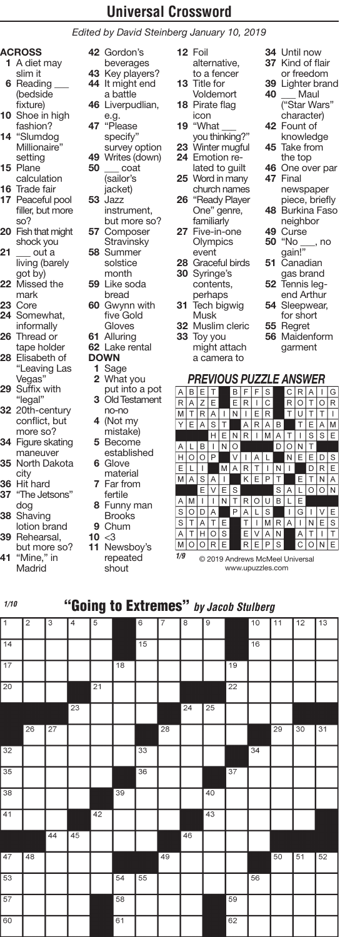*Edited by David Steinberg January 10, 2019*

#### **ACROSS**

- **1** A diet may slim it **6** Reading \_\_\_ (bedside
- fixture) **10** Shoe in high fashion?
- **14** "Slumdog Millionaire" setting
- **15** Plane calculation
- **16** Trade fair
- **17** Peaceful pool filler, but more so?
- **20** Fish that might shock you
- **21** \_\_\_ out a living (barely got by)
- **22** Missed the mark
- **23** Core **24** Somewhat,
- informally **26** Thread or
- tape holder
- **28** Elisabeth of "Leaving Las Vegas"
- **29** Suffix with "legal"
- **32** 20th-century conflict, but more so?
- **34** Figure skating maneuver **35** North Dakota
- city
- **36** Hit hard **37** "The Jetsons" dog
- **38** Shaving
- lotion brand **39** Rehearsal,
- but more so?
- **41** "Mine," in **Madrid**

beverages **43** Key players? **44** It might end a battle **46** Liverpudlian,

**42** Gordon's

- e.g. **47** "Please specify" survey option **49** Writes (down) **50** \_\_\_ coat
	- (sailor's jacket)
- **53** Jazz instrument, but more so?
- **57** Composer **Stravinsky 58** Summer solstice
- month **59** Like soda
- bread **60** Gwynn with five Gold Gloves
- **61** Alluring
- **62** Lake rental
- **DOWN**
- **1** Sage
- **2** What you
- put into a pot **3** Old Testament
- no-no **4** (Not my mistake)
- **5** Become
- established **6** Glove
- material **7** Far from
- fertile **8** Funny man
- Brooks **9** Chum
- $10 \le 3$
- **11** Newsboy's repeated shout
- **12** Foil alternative, to a fencer **13** Title for Voldemort
- **18** Pirate flag icon
- **19** "What \_\_\_ you thinking?"
- **23** Winter mugful **24** Emotion re-
- lated to guilt **25** Word in many
- church names **26** "Ready Player One" genre, familiarly
- **27** Five-in-one Olympics event
- **28** Graceful birds **30** Syringe's
- contents, perhaps
- **31** Tech bigwig Musk
- **32** Muslim cleric **33** Toy you might attach

a camera to

- **34** Until now **37** Kind of flair or freedom **39** Lighter brand Maul ("Star Wars" character) **42** Fount of knowledge **45** Take from the top **46** One over par **47** Final newspaper piece, briefly
- **48** Burkina Faso neighbor
- **49** Curse **50** "No \_\_\_, no
- gain!" **51** Canadian
- gas brand **52** Tennis leg-
- end Arthur
- **54** Sleepwear,
- for short **55** Regret
- **56** Maidenform garment

#### *PREVIOUS PUZZLE ANSWER*

| А | В       |   |   |   |   |   |   | S |   |   |   |   |   | G |
|---|---------|---|---|---|---|---|---|---|---|---|---|---|---|---|
| R | Α       | Z | Е |   | Е | R | I | C |   | R | O |   | ∩ | R |
| M | T       | R | Α |   | N | ı | Ε | R |   | T | U | Т | T |   |
| Υ | Е       | A | S | T |   | Α | R | A | B |   | T | Е | А | M |
|   |         |   | н | E | N | R |   | M | Α | Т | ۱ | S | S | E |
| Α |         | В |   | N | O |   |   |   | D | Ω | N | Т |   |   |
| н | O       | O | P |   | V |   | А |   |   | Ν | Ε | E | D | S |
| Е | L       | I |   | M | А | R | т | ı | N | ı |   | D | R | E |
| M | Α       | S | А | ı |   | Κ | Ε | Ρ | Т |   | E | T | N | A |
|   |         | E | V | E | S |   |   |   | S | A | L | O | ∩ | N |
| A | M       |   |   | N |   | R |   | U | в | L | Ε |   |   |   |
| S | $\circ$ | D | Α |   | Ρ | Α |   | S |   | Ī | G |   |   | E |
| S | Т       | А | T | Ε |   | Т |   | М | R | Α | ı | Ν | Ε | S |
| A | Τ       | H | ∩ | S |   | E | ٧ | A | N |   | A | Τ | I | Τ |
| M | О       | O | R | E |   | R | Ε | P | S |   | С | O | Ν | E |

© 2019 Andrews McMeel Universal www.upuzzles.com *1/9*

#### "Going to Extremes" *by Jacob Stulberg 1/10*

| $\overline{1}$  | $\overline{2}$  | 3               | 4               | 5  |                 | $\overline{6}$ | $\overline{7}$  | 8               | $\overline{9}$  |                 | 10 | 11 | 12 | $\overline{13}$ |
|-----------------|-----------------|-----------------|-----------------|----|-----------------|----------------|-----------------|-----------------|-----------------|-----------------|----|----|----|-----------------|
| $\overline{14}$ |                 |                 |                 |    |                 | 15             |                 |                 |                 |                 | 16 |    |    |                 |
| $\overline{17}$ |                 |                 |                 |    | $\overline{18}$ |                |                 |                 |                 | $\overline{19}$ |    |    |    |                 |
| $\overline{20}$ |                 |                 |                 | 21 |                 |                |                 |                 |                 | $\overline{22}$ |    |    |    |                 |
|                 |                 |                 | $\overline{23}$ |    |                 |                |                 | $\overline{24}$ | $\overline{25}$ |                 |    |    |    |                 |
|                 | $\overline{26}$ | $\overline{27}$ |                 |    |                 |                | $\overline{28}$ |                 |                 |                 |    | 29 | 30 | $\overline{31}$ |
| 32              |                 |                 |                 |    |                 | 33             |                 |                 |                 |                 | 34 |    |    |                 |
| 35              |                 |                 |                 |    |                 | 36             |                 |                 |                 | 37              |    |    |    |                 |
| 38              |                 |                 |                 |    | 39              |                |                 |                 | 40              |                 |    |    |    |                 |
| 41              |                 |                 |                 | 42 |                 |                |                 |                 | 43              |                 |    |    |    |                 |
|                 |                 | 44              | $\overline{45}$ |    |                 |                |                 | 46              |                 |                 |    |    |    |                 |
| 47              | 48              |                 |                 |    |                 |                | 49              |                 |                 |                 |    | 50 | 51 | 52              |
| 53              |                 |                 |                 |    | 54              | 55             |                 |                 |                 |                 | 56 |    |    |                 |
| 57              |                 |                 |                 |    | $\overline{58}$ |                |                 |                 |                 | 59              |    |    |    |                 |
| 60              |                 |                 |                 |    | 61              |                |                 |                 |                 | 62              |    |    |    |                 |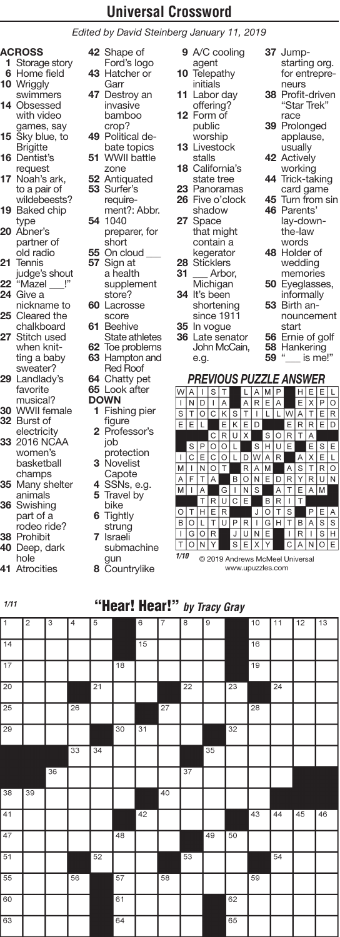*Edited by David Steinberg January 11, 2019*

# **ACROSS**

- **1** Storage story **6** Home field **10** Wriggly
- swimmers **14** Obsessed with video games, say
- **15** Sky blue, to **Brigitte**
- **16** Dentist's
- request **17** Noah's ark, to a pair of wildebeests?
- **19** Baked chip
- type **20** Abner's partner of
- old radio **21** Tennis judge's shout
- **22** "Mazel \_\_\_!"
- **24** Give a nickname to
- **25** Cleared the chalkboard **27** Stitch used when knit-
- ting a baby sweater? **29** Landlady's favorite
- musical? **30** WWII female **32** Burst of
- **electricity 33** 2016 NCAA women's basketball champs **35** Many shelter animals
- **36** Swishing part of a rodeo ride? **38** Prohibit
- **40** Deep, dark
- hole **41** Atrocities
- 
- **42** Shape of Ford's logo **43** Hatcher or Garr
- **47** Destroy an invasive bamboo
- crop? **49** Political debate topics
- **51** WWII battle zone
- **52** Antiquated **53** Surfer's
- requirement?: Abbr. **54** 1040
- preparer, for short **55** On cloud \_\_\_ **57** Sign at
	- a health supplement store?
- **60** Lacrosse score **61** Beehive
- State athletes **62** Toe problems
- **63** Hampton and Red Roof
- **64** Chatty pet

#### **65** Look after **DOWN**

- **1** Fishing pier figure
- **2** Professor's job protection
- **3** Novelist Capote **4** SSNs, e.g.
- **5** Travel by bike
- **6** Tightly
- strung **7** Israeli
- submachine
- gun
- **8** Countrylike
- **9** A/C cooling agent
- **10** Telepathy initials
- **11** Labor day offering? **12** Form of
- public .<br>worship
- **13** Livestock stalls
- **18** California's state tree
- **23** Panoramas **26** Five o'clock shadow
- **27** Space that might contain a
- kegerator
- **28** Sticklers Arbor, **Michigan 34** It's been
- shortening since 1911 **35** In vogue
- **36** Late senator John McCain, e.g.
- **37** Jumpstarting org. for entrepreneurs
- **38** Profit-driven "Star Trek" race
- **39** Prolonged applause, usually
- **42** Actively
- working **44** Trick-taking card game
- **45** Turn from sin
- **46** Parents' lay-downthe-law words
- **48** Holder of wedding memories
- **50** Eyeglasses,
- informally **53** Birth an
	- nouncement
- start **56** Ernie of golf
- **58** Hankering
	- $\_$  is me!"

#### *PREVIOUS PUZZLE ANSWER*

| W       |   |         | S |   |   |   |   |   |   |   |   |   |   |   |
|---------|---|---------|---|---|---|---|---|---|---|---|---|---|---|---|
| I       | N | D       | ı | Α |   | A | R | E | Α |   | E | Χ | Ρ | O |
| S       | Т | $\circ$ | Ċ | Κ | S | Т | I |   |   | W | А | Т | E | R |
| Е       | E |         |   | E | Κ | E | D |   |   | Е | R | R | Е | D |
|         |   |         | C | R | U | Χ |   | S | O | R | Т | Α |   |   |
|         | S | Ρ       | O | O |   |   | S | Н | U | E |   | E | S | E |
| ۱       | Ċ | E       | C | O |   | D | W | Α | R |   | Α | Χ | E |   |
| M       |   | N       | O | Т |   | R | Α | M |   | A | S | T | R | O |
| A       | F | т       | Α |   | В | O | N | Е | D | R | Υ | R | U | N |
| M       | I | А       |   | G | ı | N | S |   | A | т | E | Α | M |   |
|         |   | T       | R | U | C | E |   | В | R | I | Т |   |   |   |
| $\circ$ |   | н       | E | R |   |   | J | O | Т | S |   |   | E | А |
| B       | ŋ |         |   | Ü |   | R |   | G |   |   | B | А | S | S |
| Ī       | G | O       | R |   | J | Ü | N | E |   | ı | R | I | S | Н |
| T       | ∩ | N       |   |   | S | F |   |   |   | Ć | Δ | Ν | n | E |
|         |   |         |   |   |   |   |   |   |   |   |   |   |   |   |

© 2019 Andrews McMeel Universal *1/10*www.upuzzles.com

## "Hear! Hear!" *by Tracy Gray 1/11*

| $\overline{1}$  | $\overline{2}$ | 3  | $\overline{4}$  | 5               |                 | $\overline{6}$  | 7               | $\overline{8}$  | $\overline{9}$ |                 | 10              | 11 | 12 | 13 |
|-----------------|----------------|----|-----------------|-----------------|-----------------|-----------------|-----------------|-----------------|----------------|-----------------|-----------------|----|----|----|
| $\overline{14}$ |                |    |                 |                 |                 | 15              |                 |                 |                |                 | $\overline{16}$ |    |    |    |
| $\overline{17}$ |                |    |                 |                 | $\overline{18}$ |                 |                 |                 |                |                 | $\overline{19}$ |    |    |    |
| $\overline{20}$ |                |    |                 | $\overline{21}$ |                 |                 |                 | $\overline{22}$ |                | $\overline{23}$ |                 | 24 |    |    |
| $\overline{25}$ |                |    | $\overline{26}$ |                 |                 |                 | $\overline{27}$ |                 |                |                 | $\overline{28}$ |    |    |    |
| $\overline{29}$ |                |    |                 |                 | $\overline{30}$ | $\overline{31}$ |                 |                 |                | 32              |                 |    |    |    |
|                 |                |    | 33              | 34              |                 |                 |                 |                 | 35             |                 |                 |    |    |    |
|                 |                | 36 |                 |                 |                 |                 |                 | $\overline{37}$ |                |                 |                 |    |    |    |
| 38              | 39             |    |                 |                 |                 |                 | 40              |                 |                |                 |                 |    |    |    |
| 41              |                |    |                 |                 |                 | 42              |                 |                 |                |                 | 43              | 44 | 45 | 46 |
| 47              |                |    |                 |                 | 48              |                 |                 |                 | 49             | 50              |                 |    |    |    |
| $\overline{51}$ |                |    |                 | 52              |                 |                 |                 | 53              |                |                 |                 | 54 |    |    |
| 55              |                |    | 56              |                 | 57              |                 | 58              |                 |                |                 | 59              |    |    |    |
| 60              |                |    |                 |                 | 61              |                 |                 |                 |                | 62              |                 |    |    |    |
| 63              |                |    |                 |                 | 64              |                 |                 |                 |                | 65              |                 |    |    |    |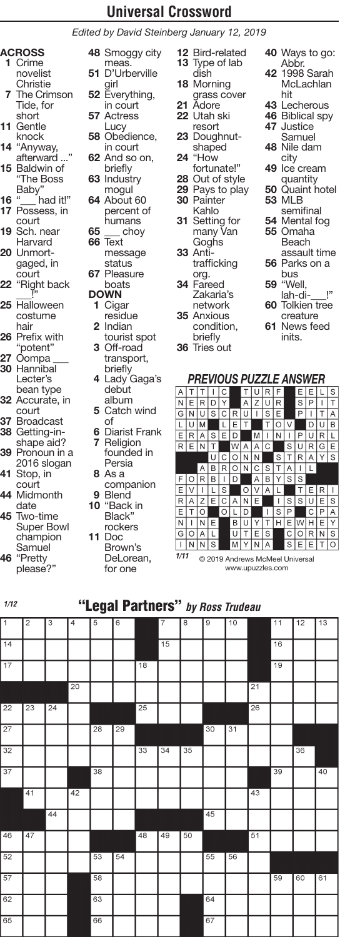*Edited by David Steinberg January 12, 2019*

- **ACROSS 1** Crime novelist **Christie**
- **7** The Crimson Tide, for short
- **11** Gentle knock
- **14** "Anyway,
- afterward . **15** Baldwin of "The Boss
- Baby" **16** "\_\_\_ had it!" **17** Possess, in
- court **19** Sch. near
- Harvard **<sup>20</sup>** Unmort- gaged, in
- court **22** "Right back
- \_\_\_!" **25** Halloween costume hair
- **26** Prefix with "potent"
- **27** Oompa \_\_\_ **30** Hannibal
- Lecter's bean type
- **32** Accurate, in court
- **37** Broadcast **38** Getting-in-
- shape aid? **39** Pronoun in a 2016 slogan
- **41** Stop, in court
- **44** Midmonth date
- **45** Two-time Super Bowl champion Samuel **46** "Pretty
- please?"
- **48** Smoggy city meas. **51** D'Urberville
- girl **52** Everything,
- in court **57** Actress
- **Lucy 58** Obedience,
- in court **62** And so on,
- briefly **63** Industry
- mogul **64** About 60 percent of humans<br>choy
- **65** \_\_\_ choy **66** Text message status **67** Pleasure
- boats **DOWN**
- **1** Cigar residue **2** Indian
- tourist spot **3** Off-road transport,
- briefly **4** Lady Gaga's
- debut album
- **5** Catch wind of
- **6** Diarist Frank **7** Religion founded in Persia
- **8** As a
- companion **9** Blend **10** "Back in
	- Black" rockers
- **11** Doc Brown's
	- DeLorean, for one
- **12** Bird-related **13** Type of lab dish
- **18** Morning grass cover
- **21** Adore **22** Utah ski
- resort **23** Doughnutshaped
- **24** "How fortunate!"
- **28** Out of style
- **29** Pays to play **30** Painter
- Kahlo
- **31** Setting for many Van Goghs
- **33** Antitrafficking org.
- **34** Fareed Zakaria's
- network **35** Anxious condition,
- briefly **36** Tries out
- **40** Ways to go: Abbr.
- **42** 1998 Sarah **McLachlan** hit
- **43** Lecherous **46** Biblical spy
- **47** Justice
- Samuel
- **48** Nile dam city
- **49** Ice cream
- quantity **50** Quaint hotel **53** MLB
	- semifinal
- **54** Mental fog **55** Omaha Beach
- assault time **56** Parks on a
- bus **59** "Well,
- lah-di!"
- **60** Tolkien tree creature
- **61** News feed inits.

#### *PREVIOUS PUZZLE ANSWER*

| А   |   |   |   | С |   |   | U |   | F |   | Ε | E |   | S |
|-----|---|---|---|---|---|---|---|---|---|---|---|---|---|---|
| ١N  | E | R | D | Y |   | A | Z | U | R |   | S | P | I | Т |
| G   | N | U | S | C | R | U | ı | S | E |   | P | ı | т | Α |
| L   | U | M |   |   | Ε | Τ |   | Т | O | ٧ |   | D | U | B |
| Е   | R | A | S | E | D |   | М | ı | N | ı | P | U | R |   |
| R   | E | N | Т |   | W | Α | A | C |   | S | U | R | G | E |
|     |   |   | U | C | O | N | Ν |   | S | T | R | Α | Υ | S |
|     |   | A | B | R | O | N | C | S | Τ | A | I |   |   |   |
| F   | O | R | в | ı | D |   | Α | В | Υ | S | S |   |   |   |
| lΕ  | V | I | L | S |   | O | V | A | L |   | Т | E | R |   |
| l R | Α | Z | E | C | Α | N | E |   | I | S | S | U | E | S |
| lΕ  | Τ | Ο |   | O | L | D |   | ı | S | Ρ |   | C | P | A |
| ١N  |   | N | Ε |   | В | U | Y | T | Н | Ε | W | Н | E | Υ |
| G   | O | A | L |   | U | T | E | S |   | C | O | R | N | S |
| I   | Ν | Ν | S |   | M | Y | Ν | А |   | S | E | F | T | O |
|     |   |   |   |   |   |   |   |   |   |   |   |   |   |   |

© 2019 Andrews McMeel Universal *1/11*www.upuzzles.com

## "Legal Partners" *by Ross Trudeau 1/12*

| $\overline{1}$  | $\overline{c}$  | 3               | $\overline{4}$ | 5               | $\overline{6}$  |                 | $\overline{7}$ | 8  | 9  | 10              |                 | 11              | 12 | 13 |
|-----------------|-----------------|-----------------|----------------|-----------------|-----------------|-----------------|----------------|----|----|-----------------|-----------------|-----------------|----|----|
| $\overline{14}$ |                 |                 |                |                 |                 |                 | 15             |    |    |                 |                 | 16              |    |    |
| 17              |                 |                 |                |                 |                 | $\overline{18}$ |                |    |    |                 |                 | $\overline{19}$ |    |    |
|                 |                 |                 | 20             |                 |                 |                 |                |    |    |                 | 21              |                 |    |    |
| 22              | 23              | $\overline{24}$ |                |                 |                 | 25              |                |    |    |                 | $\overline{26}$ |                 |    |    |
| $\overline{27}$ |                 |                 |                | $\overline{28}$ | $\overline{29}$ |                 |                |    | 30 | $\overline{31}$ |                 |                 |    |    |
| 32              |                 |                 |                |                 |                 | 33              | 34             | 35 |    |                 |                 |                 | 36 |    |
| 37              |                 |                 |                | 38              |                 |                 |                |    |    |                 |                 | 39              |    | 40 |
|                 | $\overline{41}$ |                 | 42             |                 |                 |                 |                |    |    |                 | 43              |                 |    |    |
|                 |                 | 44              |                |                 |                 |                 |                |    | 45 |                 |                 |                 |    |    |
| 46              | $\overline{47}$ |                 |                |                 |                 | 48              | 49             | 50 |    |                 | 51              |                 |    |    |
| 52              |                 |                 |                | 53              | 54              |                 |                |    | 55 | 56              |                 |                 |    |    |
| 57              |                 |                 |                | 58              |                 |                 |                |    |    |                 |                 | 59              | 60 | 61 |
| 62              |                 |                 |                | 63              |                 |                 |                |    | 64 |                 |                 |                 |    |    |
| 65              |                 |                 |                | 66              |                 |                 |                |    | 67 |                 |                 |                 |    |    |